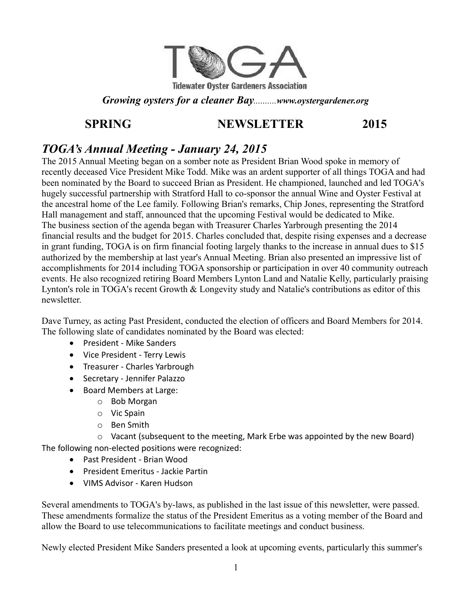

## *Growing oysters for a cleaner Bay..........www.oystergardener.org*

# **SPRING NEWSLETTER 2015**

# *TOGA's Annual Meeting - January 24, 2015*

The 2015 Annual Meeting began on a somber note as President Brian Wood spoke in memory of recently deceased Vice President Mike Todd. Mike was an ardent supporter of all things TOGA and had been nominated by the Board to succeed Brian as President. He championed, launched and led TOGA's hugely successful partnership with Stratford Hall to co-sponsor the annual Wine and Oyster Festival at the ancestral home of the Lee family. Following Brian's remarks, Chip Jones, representing the Stratford Hall management and staff, announced that the upcoming Festival would be dedicated to Mike. The business section of the agenda began with Treasurer Charles Yarbrough presenting the 2014 financial results and the budget for 2015. Charles concluded that, despite rising expenses and a decrease in grant funding, TOGA is on firm financial footing largely thanks to the increase in annual dues to \$15 authorized by the membership at last year's Annual Meeting. Brian also presented an impressive list of accomplishments for 2014 including TOGA sponsorship or participation in over 40 community outreach events. He also recognized retiring Board Members Lynton Land and Natalie Kelly, particularly praising Lynton's role in TOGA's recent Growth & Longevity study and Natalie's contributions as editor of this newsletter.

Dave Turney, as acting Past President, conducted the election of officers and Board Members for 2014. The following slate of candidates nominated by the Board was elected:

- President Mike Sanders
- Vice President Terry Lewis
- Treasurer Charles Yarbrough
- **•** Secretary Jennifer Palazzo
- Board Members at Large:
	- o Bob Morgan
	- o Vic Spain
	- o Ben Smith

 $\circ$  Vacant (subsequent to the meeting, Mark Erbe was appointed by the new Board) The following non-elected positions were recognized:

- Past President Brian Wood
- President Emeritus Jackie Partin
- VIMS Advisor Karen Hudson

Several amendments to TOGA's by-laws, as published in the last issue of this newsletter, were passed. These amendments formalize the status of the President Emeritus as a voting member of the Board and allow the Board to use telecommunications to facilitate meetings and conduct business.

Newly elected President Mike Sanders presented a look at upcoming events, particularly this summer's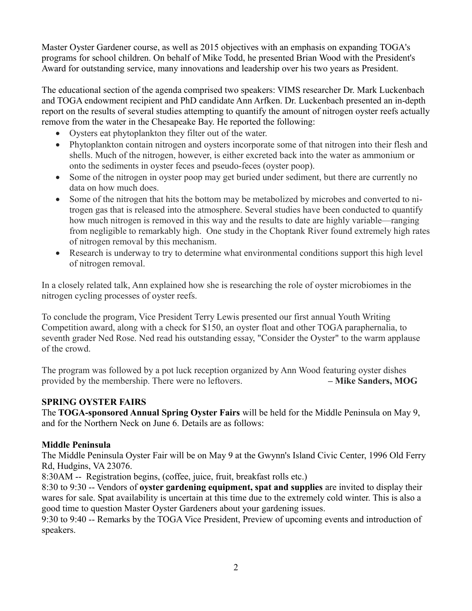Master Oyster Gardener course, as well as 2015 objectives with an emphasis on expanding TOGA's programs for school children. On behalf of Mike Todd, he presented Brian Wood with the President's Award for outstanding service, many innovations and leadership over his two years as President.

The educational section of the agenda comprised two speakers: VIMS researcher Dr. Mark Luckenbach and TOGA endowment recipient and PhD candidate Ann Arfken. Dr. Luckenbach presented an in-depth report on the results of several studies attempting to quantify the amount of nitrogen oyster reefs actually remove from the water in the Chesapeake Bay. He reported the following:

- Oysters eat phytoplankton they filter out of the water.
- Phytoplankton contain nitrogen and oysters incorporate some of that nitrogen into their flesh and shells. Much of the nitrogen, however, is either excreted back into the water as ammonium or onto the sediments in oyster feces and pseudo-feces (oyster poop).
- Some of the nitrogen in oyster poop may get buried under sediment, but there are currently no data on how much does.
- Some of the nitrogen that hits the bottom may be metabolized by microbes and converted to nitrogen gas that is released into the atmosphere. Several studies have been conducted to quantify how much nitrogen is removed in this way and the results to date are highly variable—ranging from negligible to remarkably high. One study in the Choptank River found extremely high rates of nitrogen removal by this mechanism.
- Research is underway to try to determine what environmental conditions support this high level of nitrogen removal.

In a closely related talk, Ann explained how she is researching the role of oyster microbiomes in the nitrogen cycling processes of oyster reefs.

To conclude the program, Vice President Terry Lewis presented our first annual Youth Writing Competition award, along with a check for \$150, an oyster float and other TOGA paraphernalia, to seventh grader Ned Rose. Ned read his outstanding essay, "Consider the Oyster" to the warm applause of the crowd.

The program was followed by a pot luck reception organized by Ann Wood featuring oyster dishes provided by the membership. There were no leftovers. **– Mike Sanders, MOG**

#### **SPRING OYSTER FAIRS**

The **TOGA-sponsored Annual Spring Oyster Fairs** will be held for the Middle Peninsula on May 9, and for the Northern Neck on June 6. Details are as follows:

#### **Middle Peninsula**

The Middle Peninsula Oyster Fair will be on May 9 at the Gwynn's Island Civic Center, 1996 Old Ferry Rd, Hudgins, VA 23076.

8:30AM -- Registration begins, (coffee, juice, fruit, breakfast rolls etc.)

8:30 to 9:30 -- Vendors of **oyster gardening equipment, spat and supplies** are invited to display their wares for sale. Spat availability is uncertain at this time due to the extremely cold winter. This is also a good time to question Master Oyster Gardeners about your gardening issues.

9:30 to 9:40 -- Remarks by the TOGA Vice President, Preview of upcoming events and introduction of speakers.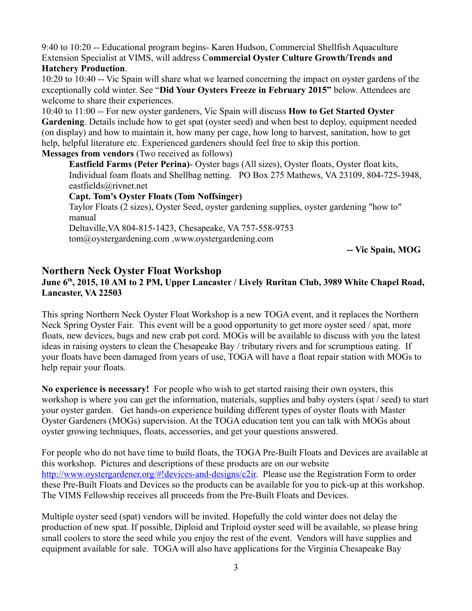9:40 to 10:20 -- Educational program begins- Karen Hudson, Commercial Shellfish Aquaculture Extension Specialist at VIMS, will address C**ommercial Oyster Culture Growth/Trends and** 

#### **Hatchery Production**.

10:20 to 10:40 -- Vic Spain will share what we learned concerning the impact on oyster gardens of the exceptionally cold winter. See "**Did Your Oysters Freeze in February 2015"** below. Attendees are welcome to share their experiences.

10:40 to 11:00 -- For new oyster gardeners, Vic Spain will discuss **How to Get Started Oyster Gardening**. Details include how to get spat (oyster seed) and when best to deploy, equipment needed (on display) and how to maintain it, how many per cage, how long to harvest, sanitation, how to get help, helpful literature etc. Experienced gardeners should feel free to skip this portion. **Messages from vendors** (Two received as follows)

**Eastfield Farms (Peter Perina)**- Oyster bags (All sizes), Oyster floats, Oyster float kits, Individual foam floats and Shellbag netting. PO Box 275 Mathews, VA 23109, 804-725-3948, eastfields@rivnet.net

#### **Capt. Tom's Oyster Floats (Tom Noffsinger)**

Taylor Floats (2 sizes), Oyster Seed, oyster gardening supplies, oyster gardening "how to" manual

Deltaville,VA 804-815-1423, Chesapeake, VA 757-558-9753

tom@oystergardening.com ,www.oystergardening.com

**-- Vic Spain, MOG**

## **Northern Neck Oyster Float Workshop**

### **June 6th, 2015, 10 AM to 2 PM, Upper Lancaster / Lively Ruritan Club, 3989 White Chapel Road, Lancaster, VA 22503**

This spring Northern Neck Oyster Float Workshop is a new TOGA event, and it replaces the Northern Neck Spring Oyster Fair. This event will be a good opportunity to get more oyster seed / spat, more floats, new devices, bags and new crab pot cord. MOGs will be available to discuss with you the latest ideas in raising oysters to clean the Chesapeake Bay / tributary rivers and for scrumptious eating. If your floats have been damaged from years of use, TOGA will have a float repair station with MOGs to help repair your floats.

**No experience is necessary!** For people who wish to get started raising their own oysters, this workshop is where you can get the information, materials, supplies and baby oysters (spat / seed) to start your oyster garden. Get hands-on experience building different types of oyster floats with Master Oyster Gardeners (MOGs) supervision. At the TOGA education tent you can talk with MOGs about oyster growing techniques, floats, accessories, and get your questions answered.

For people who do not have time to build floats, the TOGA Pre-Built Floats and Devices are available at this workshop. Pictures and descriptions of these products are on our website http://www.oystergardener.org/#!devices-and-designs/c2ir. Please use the Registration Form to order these Pre-Built Floats and Devices so the products can be available for you to pick-up at this workshop. The VIMS Fellowship receives all proceeds from the Pre-Built Floats and Devices.

Multiple oyster seed (spat) vendors will be invited. Hopefully the cold winter does not delay the production of new spat. If possible, Diploid and Triploid oyster seed will be available, so please bring small coolers to store the seed while you enjoy the rest of the event. Vendors will have supplies and equipment available for sale. TOGA will also have applications for the Virginia Chesapeake Bay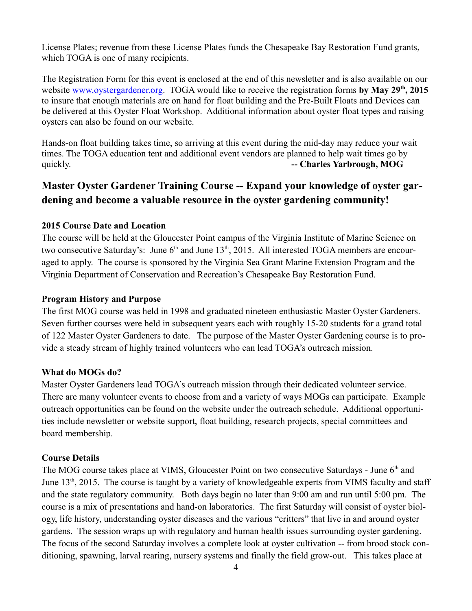License Plates; revenue from these License Plates funds the Chesapeake Bay Restoration Fund grants, which TOGA is one of many recipients.

The Registration Form for this event is enclosed at the end of this newsletter and is also available on our website [www.oystergardener.org.](http://www.oystergardener.org/) TOGA would like to receive the registration forms **by May 29th, 2015** to insure that enough materials are on hand for float building and the Pre-Built Floats and Devices can be delivered at this Oyster Float Workshop. Additional information about oyster float types and raising oysters can also be found on our website.

Hands-on float building takes time, so arriving at this event during the mid-day may reduce your wait times. The TOGA education tent and additional event vendors are planned to help wait times go by quickly. **-- Charles Yarbrough, MOG**

# **Master Oyster Gardener Training Course -- Expand your knowledge of oyster gardening and become a valuable resource in the oyster gardening community!**

#### **2015 Course Date and Location**

The course will be held at the Gloucester Point campus of the Virginia Institute of Marine Science on two consecutive Saturday's: June  $6<sup>th</sup>$  and June 13<sup>th</sup>, 2015. All interested TOGA members are encouraged to apply. The course is sponsored by the Virginia Sea Grant Marine Extension Program and the Virginia Department of Conservation and Recreation's Chesapeake Bay Restoration Fund.

#### **Program History and Purpose**

The first MOG course was held in 1998 and graduated nineteen enthusiastic Master Oyster Gardeners. Seven further courses were held in subsequent years each with roughly 15-20 students for a grand total of 122 Master Oyster Gardeners to date. The purpose of the Master Oyster Gardening course is to provide a steady stream of highly trained volunteers who can lead TOGA's outreach mission.

#### **What do MOGs do?**

Master Oyster Gardeners lead TOGA's outreach mission through their dedicated volunteer service. There are many volunteer events to choose from and a variety of ways MOGs can participate. Example outreach opportunities can be found on the website under the outreach schedule. Additional opportunities include newsletter or website support, float building, research projects, special committees and board membership.

#### **Course Details**

The MOG course takes place at VIMS, Gloucester Point on two consecutive Saturdays - June 6<sup>th</sup> and June  $13<sup>th</sup>$ , 2015. The course is taught by a variety of knowledgeable experts from VIMS faculty and staff and the state regulatory community. Both days begin no later than 9:00 am and run until 5:00 pm. The course is a mix of presentations and hand-on laboratories. The first Saturday will consist of oyster biology, life history, understanding oyster diseases and the various "critters" that live in and around oyster gardens. The session wraps up with regulatory and human health issues surrounding oyster gardening. The focus of the second Saturday involves a complete look at oyster cultivation -- from brood stock conditioning, spawning, larval rearing, nursery systems and finally the field grow-out. This takes place at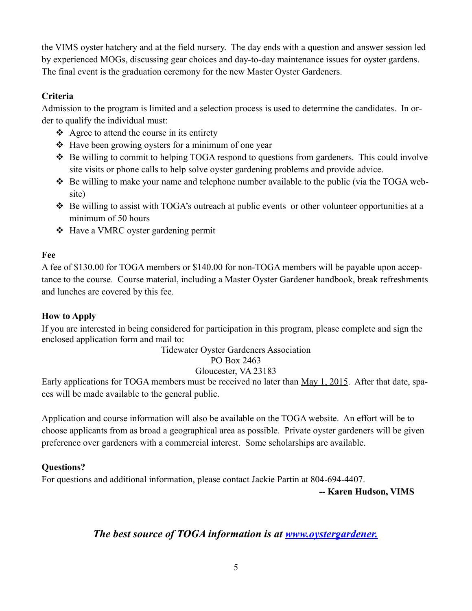the VIMS oyster hatchery and at the field nursery. The day ends with a question and answer session led by experienced MOGs, discussing gear choices and day-to-day maintenance issues for oyster gardens. The final event is the graduation ceremony for the new Master Oyster Gardeners.

## **Criteria**

Admission to the program is limited and a selection process is used to determine the candidates. In order to qualify the individual must:

- $\triangle$  Agree to attend the course in its entirety
- Have been growing oysters for a minimum of one year
- Be willing to commit to helping TOGA respond to questions from gardeners. This could involve site visits or phone calls to help solve oyster gardening problems and provide advice.
- Be willing to make your name and telephone number available to the public (via the TOGA website)
- ◆ Be willing to assist with TOGA's outreach at public events or other volunteer opportunities at a minimum of 50 hours
- Have a VMRC oyster gardening permit

## **Fee**

A fee of \$130.00 for TOGA members or \$140.00 for non-TOGA members will be payable upon acceptance to the course. Course material, including a Master Oyster Gardener handbook, break refreshments and lunches are covered by this fee.

## **How to Apply**

If you are interested in being considered for participation in this program, please complete and sign the enclosed application form and mail to:

## Tidewater Oyster Gardeners Association

PO Box 2463

# Gloucester, VA 23183

Early applications for TOGA members must be received no later than May 1, 2015. After that date, spaces will be made available to the general public.

Application and course information will also be available on the TOGA website. An effort will be to choose applicants from as broad a geographical area as possible. Private oyster gardeners will be given preference over gardeners with a commercial interest. Some scholarships are available.

# **Questions?**

For questions and additional information, please contact Jackie Partin at 804-694-4407.

**-- Karen Hudson, VIMS**

# *The best source of TOGA information is at [www.oystergardener.](http://www.oystergardener.org/)*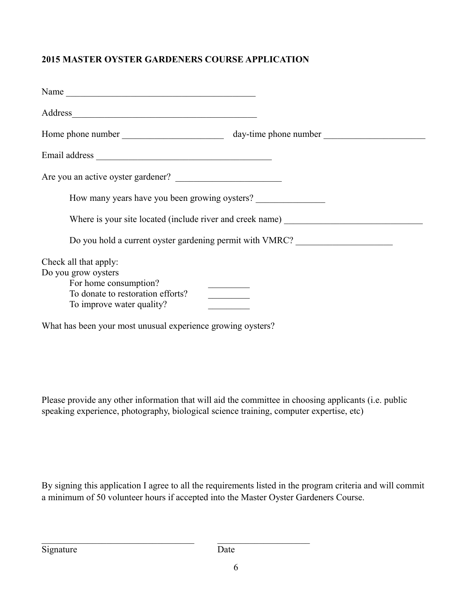## **2015 MASTER OYSTER GARDENERS COURSE APPLICATION**

| Address                                                                                                                                 |                                                                                   |  |  |
|-----------------------------------------------------------------------------------------------------------------------------------------|-----------------------------------------------------------------------------------|--|--|
|                                                                                                                                         |                                                                                   |  |  |
|                                                                                                                                         |                                                                                   |  |  |
| Are you an active oyster gardener?                                                                                                      |                                                                                   |  |  |
| How many years have you been growing oysters?                                                                                           |                                                                                   |  |  |
|                                                                                                                                         | Where is your site located (include river and creek name) _______________________ |  |  |
|                                                                                                                                         | Do you hold a current oyster gardening permit with VMRC?                          |  |  |
| Check all that apply:<br>Do you grow oysters<br>For home consumption?<br>To donate to restoration efforts?<br>To improve water quality? |                                                                                   |  |  |
| What has been your most unusual experience growing oysters?                                                                             |                                                                                   |  |  |

Please provide any other information that will aid the committee in choosing applicants (i.e. public speaking experience, photography, biological science training, computer expertise, etc)

By signing this application I agree to all the requirements listed in the program criteria and will commit a minimum of 50 volunteer hours if accepted into the Master Oyster Gardeners Course.

 $\mathcal{L}_\text{max}$  , and the contract of the contract of the contract of the contract of the contract of the contract of the contract of the contract of the contract of the contract of the contract of the contract of the contr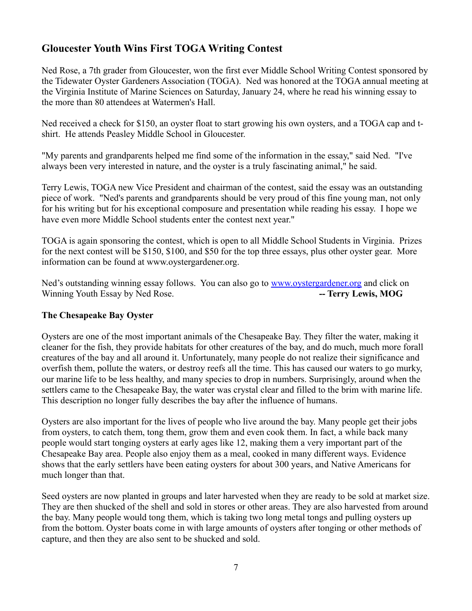# **Gloucester Youth Wins First TOGA Writing Contest**

Ned Rose, a 7th grader from Gloucester, won the first ever Middle School Writing Contest sponsored by the Tidewater Oyster Gardeners Association (TOGA). Ned was honored at the TOGA annual meeting at the Virginia Institute of Marine Sciences on Saturday, January 24, where he read his winning essay to the more than 80 attendees at Watermen's Hall.

Ned received a check for \$150, an oyster float to start growing his own oysters, and a TOGA cap and tshirt. He attends Peasley Middle School in Gloucester.

"My parents and grandparents helped me find some of the information in the essay," said Ned. "I've always been very interested in nature, and the oyster is a truly fascinating animal," he said.

Terry Lewis, TOGA new Vice President and chairman of the contest, said the essay was an outstanding piece of work. "Ned's parents and grandparents should be very proud of this fine young man, not only for his writing but for his exceptional composure and presentation while reading his essay. I hope we have even more Middle School students enter the contest next year."

TOGA is again sponsoring the contest, which is open to all Middle School Students in Virginia. Prizes for the next contest will be \$150, \$100, and \$50 for the top three essays, plus other oyster gear. More information can be found at www.oystergardener.org.

Ned's outstanding winning essay follows. You can also go to [www.oystergardener.org](http://www.oystergardener.org/) and click on Winning Youth Essay by Ned Rose. **-- Terry Lewis, MOG** 

#### **The Chesapeake Bay Oyster**

Oysters are one of the most important animals of the Chesapeake Bay. They filter the water, making it cleaner for the fish, they provide habitats for other creatures of the bay, and do much, much more forall creatures of the bay and all around it. Unfortunately, many people do not realize their significance and overfish them, pollute the waters, or destroy reefs all the time. This has caused our waters to go murky, our marine life to be less healthy, and many species to drop in numbers. Surprisingly, around when the settlers came to the Chesapeake Bay, the water was crystal clear and filled to the brim with marine life. This description no longer fully describes the bay after the influence of humans.

Oysters are also important for the lives of people who live around the bay. Many people get their jobs from oysters, to catch them, tong them, grow them and even cook them. In fact, a while back many people would start tonging oysters at early ages like 12, making them a very important part of the Chesapeake Bay area. People also enjoy them as a meal, cooked in many different ways. Evidence shows that the early settlers have been eating oysters for about 300 years, and Native Americans for much longer than that.

Seed oysters are now planted in groups and later harvested when they are ready to be sold at market size. They are then shucked of the shell and sold in stores or other areas. They are also harvested from around the bay. Many people would tong them, which is taking two long metal tongs and pulling oysters up from the bottom. Oyster boats come in with large amounts of oysters after tonging or other methods of capture, and then they are also sent to be shucked and sold.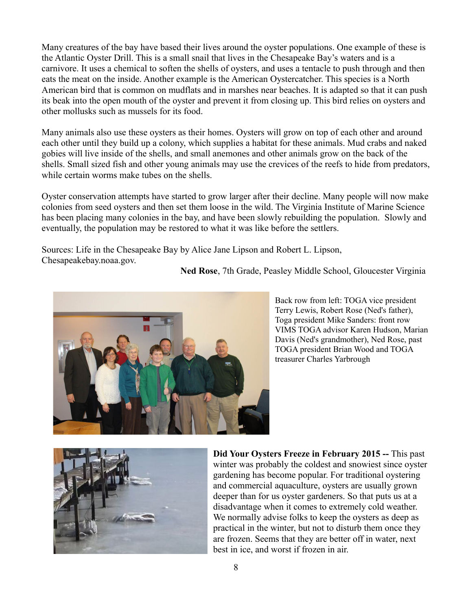Many creatures of the bay have based their lives around the oyster populations. One example of these is the Atlantic Oyster Drill. This is a small snail that lives in the Chesapeake Bay's waters and is a carnivore. It uses a chemical to soften the shells of oysters, and uses a tentacle to push through and then eats the meat on the inside. Another example is the American Oystercatcher. This species is a North American bird that is common on mudflats and in marshes near beaches. It is adapted so that it can push its beak into the open mouth of the oyster and prevent it from closing up. This bird relies on oysters and other mollusks such as mussels for its food.

Many animals also use these oysters as their homes. Oysters will grow on top of each other and around each other until they build up a colony, which supplies a habitat for these animals. Mud crabs and naked gobies will live inside of the shells, and small anemones and other animals grow on the back of the shells. Small sized fish and other young animals may use the crevices of the reefs to hide from predators, while certain worms make tubes on the shells.

Oyster conservation attempts have started to grow larger after their decline. Many people will now make colonies from seed oysters and then set them loose in the wild. The Virginia Institute of Marine Science has been placing many colonies in the bay, and have been slowly rebuilding the population. Slowly and eventually, the population may be restored to what it was like before the settlers.

Sources: Life in the Chesapeake Bay by Alice Jane Lipson and Robert L. Lipson, Chesapeakebay.noaa.gov.

**Ned Rose**, 7th Grade, Peasley Middle School, Gloucester Virginia



Back row from left: TOGA vice president Terry Lewis, Robert Rose (Ned's father), Toga president Mike Sanders: front row VIMS TOGA advisor Karen Hudson, Marian Davis (Ned's grandmother), Ned Rose, past TOGA president Brian Wood and TOGA treasurer Charles Yarbrough



**Did Your Oysters Freeze in February 2015 --** This past winter was probably the coldest and snowiest since oyster gardening has become popular. For traditional oystering and commercial aquaculture, oysters are usually grown deeper than for us oyster gardeners. So that puts us at a disadvantage when it comes to extremely cold weather. We normally advise folks to keep the oysters as deep as practical in the winter, but not to disturb them once they are frozen. Seems that they are better off in water, next best in ice, and worst if frozen in air.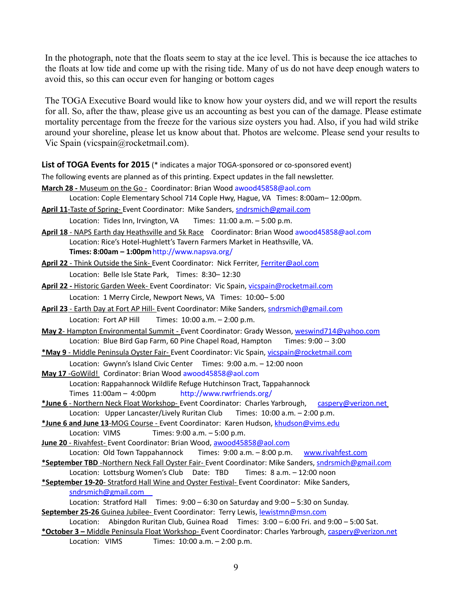In the photograph, note that the floats seem to stay at the ice level. This is because the ice attaches to the floats at low tide and come up with the rising tide. Many of us do not have deep enough waters to avoid this, so this can occur even for hanging or bottom cages

The TOGA Executive Board would like to know how your oysters did, and we will report the results for all. So, after the thaw, please give us an accounting as best you can of the damage. Please estimate mortality percentage from the freeze for the various size oysters you had. Also, if you had wild strike around your shoreline, please let us know about that. Photos are welcome. Please send your results to Vic Spain (vicspain@rocketmail.com).

List of TOGA Events for 2015 (\* indicates a major TOGA-sponsored or co-sponsored event) The following events are planned as of this printing. Expect updates in the fall newsletter. **March 28 -** Museum on the Go - Coordinator: Brian Wood [awood45858@aol.com](mailto:awood45858@aol.com) Location: Cople Elementary School 714 Cople Hwy, Hague, VA Times: 8:00am– 12:00pm. **April 11**-Taste of Spring- Event Coordinator: Mike Sanders, [sndrsmich@gmail.com](mailto:sndrsmich@gmail.com) Location: Tides Inn, Irvington, VA Times: 11:00 a.m. - 5:00 p.m. **April 18** - NAPS Earth day Heathsville and 5k Race Coordinator: Brian Wood [awood45858@aol.com](mailto:awood45858@aol.com) Location: Rice's Hotel-Hughlett's Tavern Farmers Market in Heathsville, VA. **Times: 8:00am – 1:00pm**<http://www.napsva.org/> April 22 - Think Outside the Sink- Event Coordinator: Nick Ferriter, [Ferriter@aol.com](mailto:Ferriter@aol.com) Location: Belle Isle State Park, Times: 8:30– 12:30 **April 22 -** Historic Garden Week- Event Coordinator: Vic Spain, [vicspain@rocketmail.com](mailto:vicspain@rocketmail.com) Location: 1 Merry Circle, Newport News, VA Times: 10:00– 5:00 April 23 - Earth Day at Fort AP Hill- Event Coordinator: Mike Sanders, [sndrsmich@gmail.com](mailto:sndrsmich@gmail.com) Location: Fort AP Hill Times:  $10:00$  a.m.  $-2:00$  p.m. **May 2**- Hampton Environmental Summit - Event Coordinator: Grady Wesson, [weswind714@yahoo.com](mailto:weswind714@yahoo.com) Location: Blue Bird Gap Farm, 60 Pine Chapel Road, Hampton Times: 9:00 -- 3:00 **\*May 9** - Middle Peninsula Oyster Fair- Event Coordinator: Vic Spain, [vicspain@rocketmail.com](mailto:vicspain@rocketmail.com) Location: Gwynn's Island Civic Center Times: 9:00 a.m. – 12:00 noon **May 17** -GoWild! Cordinator: Brian Wood [awood45858@aol.com](mailto:awood45858@aol.com) Location: Rappahannock Wildlife Refuge Hutchinson Tract, Tappahannock Times 11:00am – 4:00pm <http://www.rwrfriends.org/> \*June 6 - Northern Neck Float Workshop- Event Coordinator: Charles Yarbrough, [caspery@verizon.net](mailto:caspery@verizon.net) Location: Upper Lancaster/Lively Ruritan Club Times: 10:00 a.m. - 2:00 p.m.  **\*June 6 and June 13**-MOG Course - Event Coordinator: Karen Hudson, [khudson@vims.edu](mailto:khudson@vims.edu) Location: VIMS Times: 9:00 a.m. - 5:00 p.m. **June 20** - Rivahfest- Event Coordinator: Brian Wood, [awood45858@aol.com](mailto:awood45858@aol.com) Location: Old Town Tappahannock Times: 9:00 a.m. – 8:00 p.m. [www.rivahfest.com](http://www.rivahfest.com/) **\*September TBD** -Northern Neck Fall Oyster Fair- Event Coordinator: Mike Sanders, [sndrsmich@gmail.com](mailto:sndrsmich@gmail.com) Location: Lottsburg Women's Club Date: TBD Times: 8 a.m. - 12:00 noon **\*September 19-20**- Stratford Hall Wine and Oyster Festival- Event Coordinator: Mike Sanders,  [sndrsmich@gmail.com](mailto:sndrsmich@gmail.com)  Location: Stratford Hall Times: 9:00 – 6:30 on Saturday and 9:00 – 5:30 on Sunday. September 25-26 Guinea Jubilee- Event Coordinator: Terry Lewis, [lewistmn@msn.com](mailto:lewistmn@msn.com) Location: Abingdon Ruritan Club, Guinea Road Times: 3:00 – 6:00 Fri. and 9:00 – 5:00 Sat. **\*October 3 –** Middle Peninsula Float Workshop- Event Coordinator: Charles Yarbrough, [caspery@verizon.net](mailto:caspery@verizon.net) Location: VIMS Times: 10:00 a.m. - 2:00 p.m.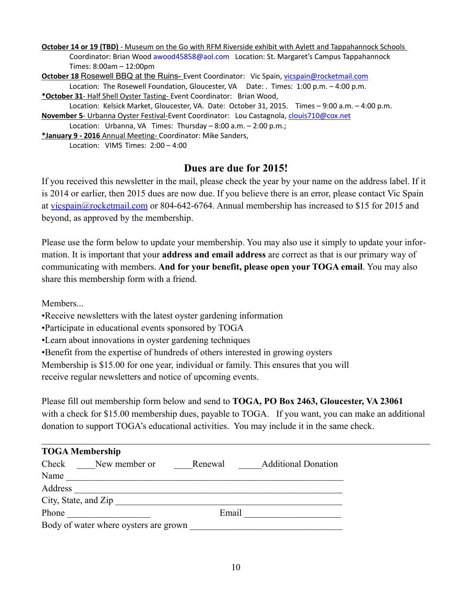**October 14 or 19 (TBD)** - Museum on the Go with RFM Riverside exhibit with Aylett and Tappahannock Schools Coordinator: Brian Wood [awood45858@aol.com](mailto:awood45858@aol.com) Location: St. Margaret's Campus Tappahannock Times: 8:00am – 12:00pm **October 18 Rosewell BBQ at the Ruins-** Event Coordinator: Vic Spain, [vicspain@rocketmail.com](mailto:vicspain@rocketmail.com) Location: The Rosewell Foundation, Gloucester, VA Date: . Times: 1:00 p.m. - 4:00 p.m. **\*October 31**- Half Shell Oyster Tasting- Event Coordinator: Brian Wood, Location: Kelsick Market, Gloucester, VA. Date: October 31, 2015. Times – 9:00 a.m. – 4:00 p.m. **November 5**- Urbanna Oyster Festival-Event Coordinator: Lou Castagnola, [clouis710@cox.net](mailto:clouis710@cox.net)

Location: Urbanna, VA Times: Thursday – 8:00 a.m. – 2:00 p.m.;

**\*January 9 - 2016** Annual Meeting- Coordinator: Mike Sanders,

Location: VIMS Times: 2:00 – 4:00

## **Dues are due for 2015!**

If you received this newsletter in the mail, please check the year by your name on the address label. If it is 2014 or earlier, then 2015 dues are now due. If you believe there is an error, please contact Vic Spain at [vicspain@rocketmail.com](mailto:vicspain@rocketmail.com) or 804-642-6764. Annual membership has increased to \$15 for 2015 and beyond, as approved by the membership.

Please use the form below to update your membership. You may also use it simply to update your information. It is important that your **address and email address** are correct as that is our primary way of communicating with members. **And for your benefit, please open your TOGA email**. You may also share this membership form with a friend.

**Members**.

•Receive newsletters with the latest oyster gardening information

•Participate in educational events sponsored by TOGA

•Learn about innovations in oyster gardening techniques

•Benefit from the expertise of hundreds of others interested in growing oysters

Membership is \$15.00 for one year, individual or family. This ensures that you will

receive regular newsletters and notice of upcoming events.

Please fill out membership form below and send to **TOGA, PO Box 2463, Gloucester, VA 23061** with a check for \$15.00 membership dues, payable to TOGA. If you want, you can make an additional donation to support TOGA's educational activities. You may include it in the same check.

| <b>TOGA Membership</b>                |                                       |  |  |  |  |  |  |
|---------------------------------------|---------------------------------------|--|--|--|--|--|--|
| Check<br>New member or                | <b>Additional Donation</b><br>Renewal |  |  |  |  |  |  |
| Name                                  |                                       |  |  |  |  |  |  |
| Address                               |                                       |  |  |  |  |  |  |
| City, State, and Zip                  |                                       |  |  |  |  |  |  |
| Phone                                 | Email                                 |  |  |  |  |  |  |
| Body of water where oysters are grown |                                       |  |  |  |  |  |  |